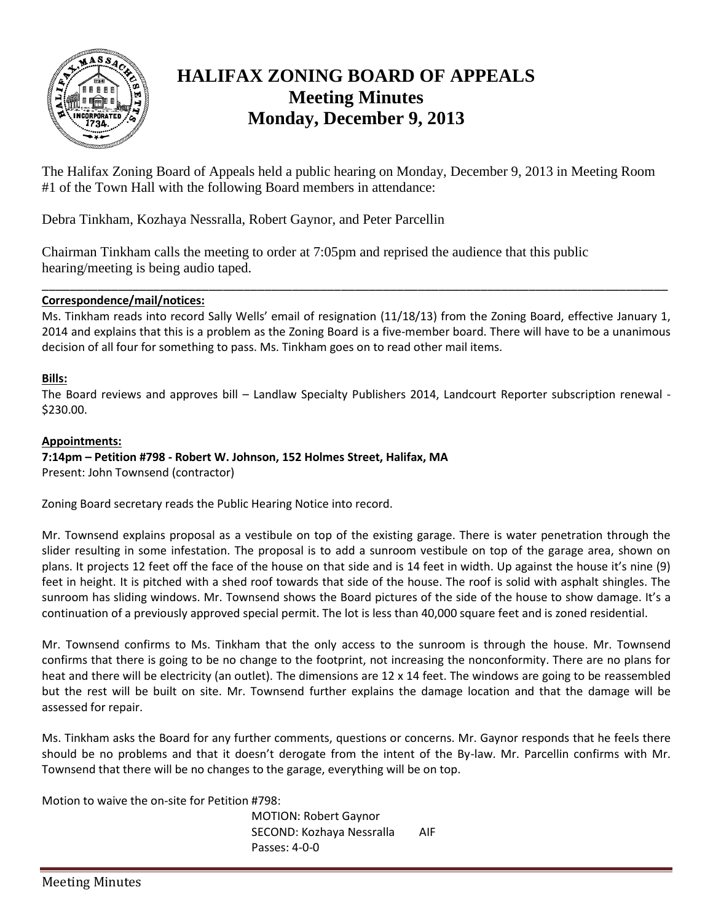

# **HALIFAX ZONING BOARD OF APPEALS Meeting Minutes Monday, December 9, 2013**

The Halifax Zoning Board of Appeals held a public hearing on Monday, December 9, 2013 in Meeting Room #1 of the Town Hall with the following Board members in attendance:

Debra Tinkham, Kozhaya Nessralla, Robert Gaynor, and Peter Parcellin

Chairman Tinkham calls the meeting to order at 7:05pm and reprised the audience that this public hearing/meeting is being audio taped.

#### **Correspondence/mail/notices:**

Ms. Tinkham reads into record Sally Wells' email of resignation (11/18/13) from the Zoning Board, effective January 1, 2014 and explains that this is a problem as the Zoning Board is a five-member board. There will have to be a unanimous decision of all four for something to pass. Ms. Tinkham goes on to read other mail items.

\_\_\_\_\_\_\_\_\_\_\_\_\_\_\_\_\_\_\_\_\_\_\_\_\_\_\_\_\_\_\_\_\_\_\_\_\_\_\_\_\_\_\_\_\_\_\_\_\_\_\_\_\_\_\_\_\_\_\_\_\_\_\_\_\_\_\_\_\_\_\_\_\_\_\_\_\_\_\_\_\_\_\_\_\_\_\_\_\_\_

#### **Bills:**

The Board reviews and approves bill – Landlaw Specialty Publishers 2014, Landcourt Reporter subscription renewal - \$230.00.

#### **Appointments:**

## **7:14pm – Petition #798 - Robert W. Johnson, 152 Holmes Street, Halifax, MA**

Present: John Townsend (contractor)

Zoning Board secretary reads the Public Hearing Notice into record.

Mr. Townsend explains proposal as a vestibule on top of the existing garage. There is water penetration through the slider resulting in some infestation. The proposal is to add a sunroom vestibule on top of the garage area, shown on plans. It projects 12 feet off the face of the house on that side and is 14 feet in width. Up against the house it's nine (9) feet in height. It is pitched with a shed roof towards that side of the house. The roof is solid with asphalt shingles. The sunroom has sliding windows. Mr. Townsend shows the Board pictures of the side of the house to show damage. It's a continuation of a previously approved special permit. The lot is less than 40,000 square feet and is zoned residential.

Mr. Townsend confirms to Ms. Tinkham that the only access to the sunroom is through the house. Mr. Townsend confirms that there is going to be no change to the footprint, not increasing the nonconformity. There are no plans for heat and there will be electricity (an outlet). The dimensions are 12 x 14 feet. The windows are going to be reassembled but the rest will be built on site. Mr. Townsend further explains the damage location and that the damage will be assessed for repair.

Ms. Tinkham asks the Board for any further comments, questions or concerns. Mr. Gaynor responds that he feels there should be no problems and that it doesn't derogate from the intent of the By-law. Mr. Parcellin confirms with Mr. Townsend that there will be no changes to the garage, everything will be on top.

Motion to waive the on-site for Petition #798:

MOTION: Robert Gaynor SECOND: Kozhaya Nessralla AIF Passes: 4-0-0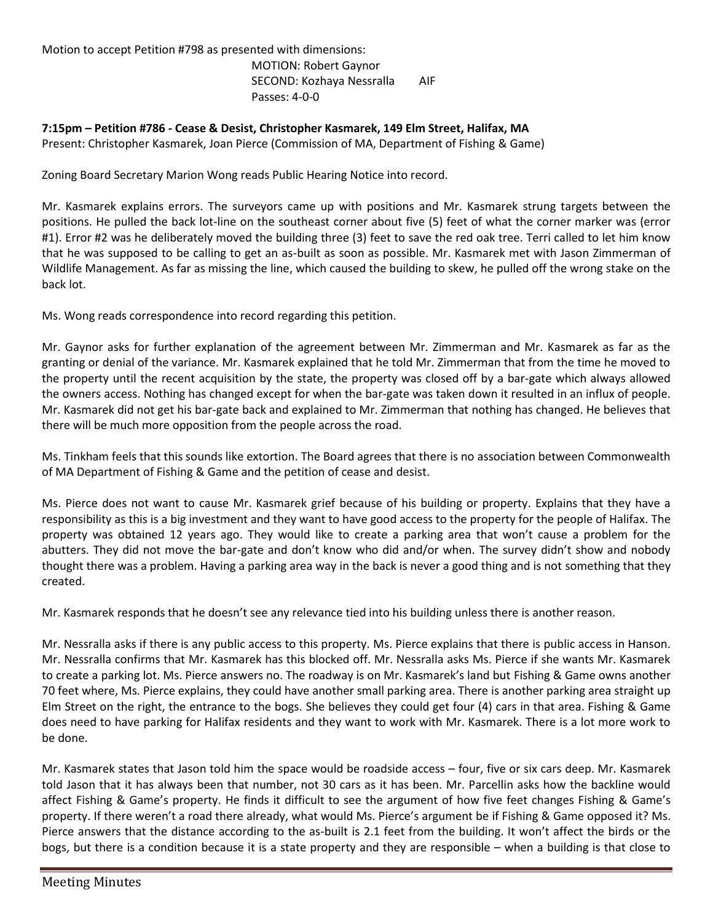Motion to accept Petition #798 as presented with dimensions: MOTION: Robert Gaynor SECOND: Kozhaya Nessralla AIF

Passes: 4-0-0

**7:15pm – Petition #786 - Cease & Desist, Christopher Kasmarek, 149 Elm Street, Halifax, MA** Present: Christopher Kasmarek, Joan Pierce (Commission of MA, Department of Fishing & Game)

Zoning Board Secretary Marion Wong reads Public Hearing Notice into record.

Mr. Kasmarek explains errors. The surveyors came up with positions and Mr. Kasmarek strung targets between the positions. He pulled the back lot-line on the southeast corner about five (5) feet of what the corner marker was (error #1). Error #2 was he deliberately moved the building three (3) feet to save the red oak tree. Terri called to let him know that he was supposed to be calling to get an as-built as soon as possible. Mr. Kasmarek met with Jason Zimmerman of Wildlife Management. As far as missing the line, which caused the building to skew, he pulled off the wrong stake on the back lot.

Ms. Wong reads correspondence into record regarding this petition.

Mr. Gaynor asks for further explanation of the agreement between Mr. Zimmerman and Mr. Kasmarek as far as the granting or denial of the variance. Mr. Kasmarek explained that he told Mr. Zimmerman that from the time he moved to the property until the recent acquisition by the state, the property was closed off by a bar-gate which always allowed the owners access. Nothing has changed except for when the bar-gate was taken down it resulted in an influx of people. Mr. Kasmarek did not get his bar-gate back and explained to Mr. Zimmerman that nothing has changed. He believes that there will be much more opposition from the people across the road.

Ms. Tinkham feels that this sounds like extortion. The Board agrees that there is no association between Commonwealth of MA Department of Fishing & Game and the petition of cease and desist.

Ms. Pierce does not want to cause Mr. Kasmarek grief because of his building or property. Explains that they have a responsibility as this is a big investment and they want to have good access to the property for the people of Halifax. The property was obtained 12 years ago. They would like to create a parking area that won't cause a problem for the abutters. They did not move the bar-gate and don't know who did and/or when. The survey didn't show and nobody thought there was a problem. Having a parking area way in the back is never a good thing and is not something that they created.

Mr. Kasmarek responds that he doesn't see any relevance tied into his building unless there is another reason.

Mr. Nessralla asks if there is any public access to this property. Ms. Pierce explains that there is public access in Hanson. Mr. Nessralla confirms that Mr. Kasmarek has this blocked off. Mr. Nessralla asks Ms. Pierce if she wants Mr. Kasmarek to create a parking lot. Ms. Pierce answers no. The roadway is on Mr. Kasmarek's land but Fishing & Game owns another 70 feet where, Ms. Pierce explains, they could have another small parking area. There is another parking area straight up Elm Street on the right, the entrance to the bogs. She believes they could get four (4) cars in that area. Fishing & Game does need to have parking for Halifax residents and they want to work with Mr. Kasmarek. There is a lot more work to be done.

Mr. Kasmarek states that Jason told him the space would be roadside access – four, five or six cars deep. Mr. Kasmarek told Jason that it has always been that number, not 30 cars as it has been. Mr. Parcellin asks how the backline would affect Fishing & Game's property. He finds it difficult to see the argument of how five feet changes Fishing & Game's property. If there weren't a road there already, what would Ms. Pierce's argument be if Fishing & Game opposed it? Ms. Pierce answers that the distance according to the as-built is 2.1 feet from the building. It won't affect the birds or the bogs, but there is a condition because it is a state property and they are responsible – when a building is that close to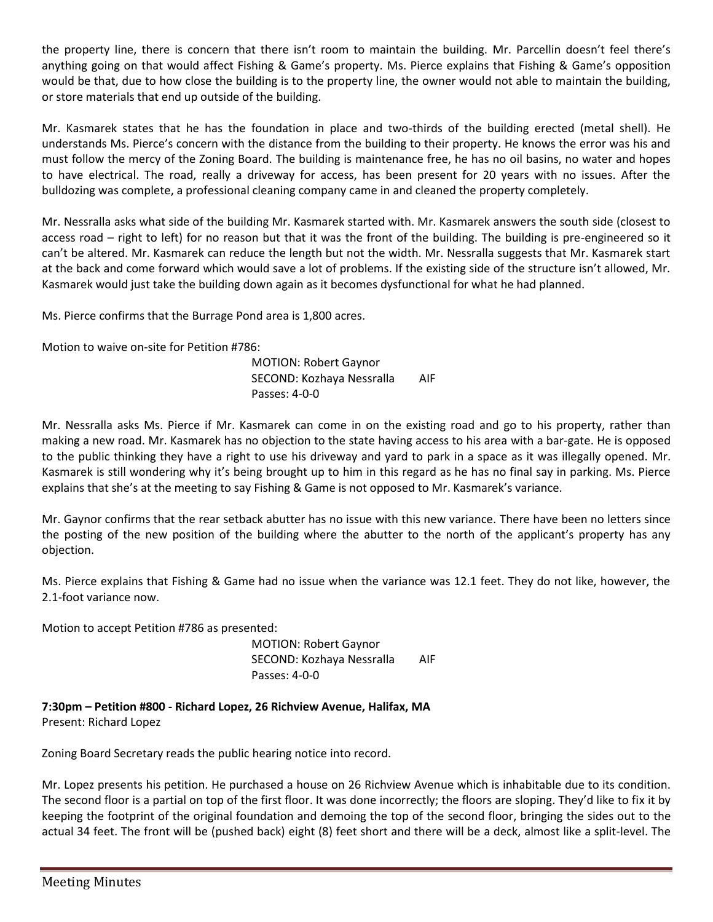the property line, there is concern that there isn't room to maintain the building. Mr. Parcellin doesn't feel there's anything going on that would affect Fishing & Game's property. Ms. Pierce explains that Fishing & Game's opposition would be that, due to how close the building is to the property line, the owner would not able to maintain the building, or store materials that end up outside of the building.

Mr. Kasmarek states that he has the foundation in place and two-thirds of the building erected (metal shell). He understands Ms. Pierce's concern with the distance from the building to their property. He knows the error was his and must follow the mercy of the Zoning Board. The building is maintenance free, he has no oil basins, no water and hopes to have electrical. The road, really a driveway for access, has been present for 20 years with no issues. After the bulldozing was complete, a professional cleaning company came in and cleaned the property completely.

Mr. Nessralla asks what side of the building Mr. Kasmarek started with. Mr. Kasmarek answers the south side (closest to access road – right to left) for no reason but that it was the front of the building. The building is pre-engineered so it can't be altered. Mr. Kasmarek can reduce the length but not the width. Mr. Nessralla suggests that Mr. Kasmarek start at the back and come forward which would save a lot of problems. If the existing side of the structure isn't allowed, Mr. Kasmarek would just take the building down again as it becomes dysfunctional for what he had planned.

Ms. Pierce confirms that the Burrage Pond area is 1,800 acres.

Motion to waive on-site for Petition #786:

MOTION: Robert Gaynor SECOND: Kozhaya Nessralla AIF Passes: 4-0-0

Mr. Nessralla asks Ms. Pierce if Mr. Kasmarek can come in on the existing road and go to his property, rather than making a new road. Mr. Kasmarek has no objection to the state having access to his area with a bar-gate. He is opposed to the public thinking they have a right to use his driveway and yard to park in a space as it was illegally opened. Mr. Kasmarek is still wondering why it's being brought up to him in this regard as he has no final say in parking. Ms. Pierce explains that she's at the meeting to say Fishing & Game is not opposed to Mr. Kasmarek's variance.

Mr. Gaynor confirms that the rear setback abutter has no issue with this new variance. There have been no letters since the posting of the new position of the building where the abutter to the north of the applicant's property has any objection.

Ms. Pierce explains that Fishing & Game had no issue when the variance was 12.1 feet. They do not like, however, the 2.1-foot variance now.

Motion to accept Petition #786 as presented:

MOTION: Robert Gaynor SECOND: Kozhaya Nessralla AIF Passes: 4-0-0

**7:30pm – Petition #800 - Richard Lopez, 26 Richview Avenue, Halifax, MA** Present: Richard Lopez

Zoning Board Secretary reads the public hearing notice into record.

Mr. Lopez presents his petition. He purchased a house on 26 Richview Avenue which is inhabitable due to its condition. The second floor is a partial on top of the first floor. It was done incorrectly; the floors are sloping. They'd like to fix it by keeping the footprint of the original foundation and demoing the top of the second floor, bringing the sides out to the actual 34 feet. The front will be (pushed back) eight (8) feet short and there will be a deck, almost like a split-level. The